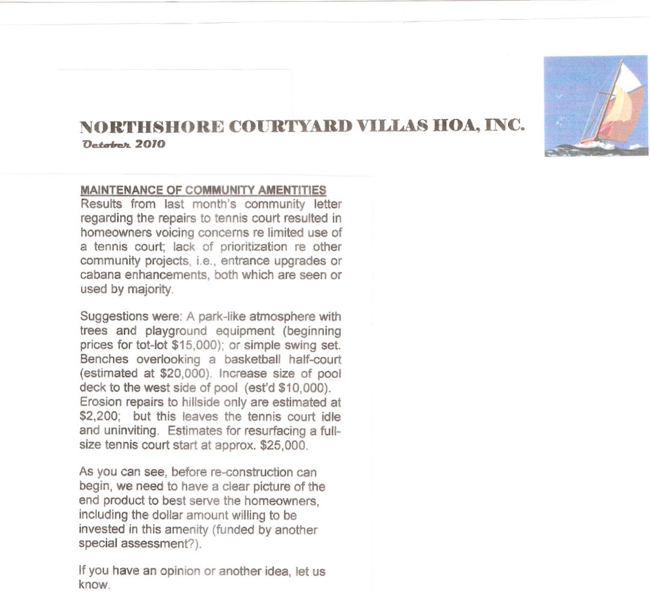

## **NOR'l'HSRORE COIJRTY...UlD VILLAS IIOA, INC.**  $D_{atabab}$  2010

## **MAINTENANCE OF COMMUNITY AMENTITIES**

Results from last month's community letter regarding the repairs to tennis court resulted in homeowners voicing concerns re limited use of a tennis court; lack of prioritization re other community projects, i.e., entrance upgrades or cabana enhancements, both which are seen or used by majority.

Suggestions were: A park-like atmosphere with trees and playground equipment (beginning prices for tot-lot \$15,000); or simple swing set. Benches overlooking a basketball half-court (estimated at \$20,000). Increase size of pool deck to the west side of pool (est'd \$10,000). Erosion repairs to hillside only are estimated at \$2,200; but this leaves the tennis court idle and uninviting. Estimates for resurfacing a fullsize tennis court start at approx. \$25,000.

As you can see, before re-construction can begin, we need to have a clear picture of the end product to best serve the homeowners, including the dollar amount willing to be invested in this amenity (funded by another special assessment?).

If you have an opinion or another idea, let us know.